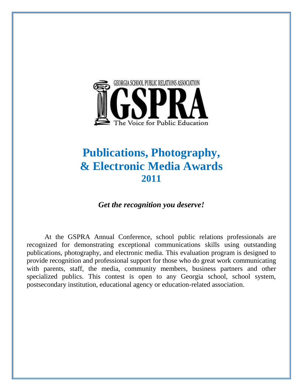

# **Publications, Photography, & Electronic Media Awards 2011**

*Get the recognition you deserve!*

At the GSPRA Annual Conference, school public relations professionals are recognized for demonstrating exceptional communications skills using outstanding publications, photography, and electronic media. This evaluation program is designed to provide recognition and professional support for those who do great work communicating with parents, staff, the media, community members, business partners and other specialized publics. This contest is open to any Georgia school, school system, postsecondary institution, educational agency or education-related association.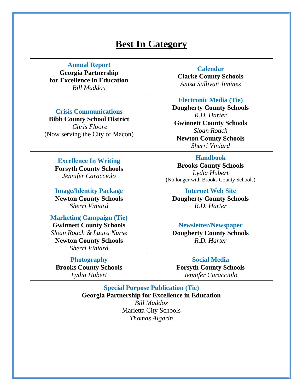### **Best In Category**

| <b>Annual Report</b><br><b>Georgia Partnership</b><br>for Excellence in Education<br><b>Bill Maddox</b>                                          | <b>Calendar</b><br><b>Clarke County Schools</b><br>Anisa Sullivan Jiminez                                                                                                                                                                                                                              |  |
|--------------------------------------------------------------------------------------------------------------------------------------------------|--------------------------------------------------------------------------------------------------------------------------------------------------------------------------------------------------------------------------------------------------------------------------------------------------------|--|
| <b>Crisis Communications</b><br><b>Bibb County School District</b><br>Chris Floore<br>(Now serving the City of Macon)                            | <b>Electronic Media (Tie)</b><br><b>Dougherty County Schools</b><br>R.D. Harter<br><b>Gwinnett County Schools</b><br><b>Sloan Roach</b><br><b>Newton County Schools</b><br>Sherri Viniard<br><b>Handbook</b><br><b>Brooks County Schools</b><br>Lydia Hubert<br>(No longer with Brooks County Schools) |  |
| <b>Excellence In Writing</b><br><b>Forsyth County Schools</b><br>Jennifer Caracciolo                                                             |                                                                                                                                                                                                                                                                                                        |  |
| <b>Image/Identity Package</b><br><b>Newton County Schools</b><br>Sherri Viniard                                                                  | <b>Internet Web Site</b><br><b>Dougherty County Schools</b><br>R.D. Harter                                                                                                                                                                                                                             |  |
| <b>Marketing Campaign (Tie)</b><br><b>Gwinnett County Schools</b><br>Sloan Roach & Laura Nurse<br><b>Newton County Schools</b><br>Sherri Viniard | <b>Newsletter/Newspaper</b><br><b>Dougherty County Schools</b><br>R.D. Harter                                                                                                                                                                                                                          |  |
| <b>Photography</b>                                                                                                                               | <b>Social Media</b>                                                                                                                                                                                                                                                                                    |  |

**Brooks County Schools**  *Lydia Hubert*

**Forsyth County Schools**  *Jennifer Caracciolo*

**Special Purpose Publication (Tie) Georgia Partnership for Excellence in Education** *Bill Maddox* Marietta City Schools *Thomas Algarin*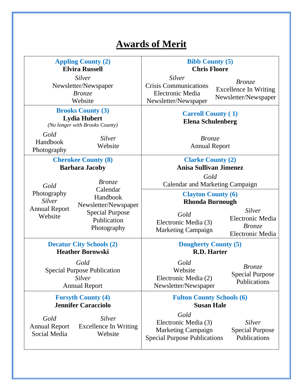## **Awards of Merit**

| <b>Appling County (2)</b><br><b>Elvira Russell</b>                                                                                                                                               |                                                                                                                          | <b>Bibb County (5)</b><br><b>Chris Floore</b>                                                    |                                                                        |
|--------------------------------------------------------------------------------------------------------------------------------------------------------------------------------------------------|--------------------------------------------------------------------------------------------------------------------------|--------------------------------------------------------------------------------------------------|------------------------------------------------------------------------|
| <b>Silver</b><br>Newsletter/Newspaper<br><b>Bronze</b><br>Website                                                                                                                                |                                                                                                                          | Silver<br><b>Crisis Communications</b><br>Electronic Media<br>Newsletter/Newspaper               | <i>Bronze</i><br><b>Excellence In Writing</b><br>Newsletter/Newspaper  |
| <b>Brooks County (3)</b><br><b>Lydia Hubert</b><br>(No longer with Brooks County)                                                                                                                |                                                                                                                          | <b>Carroll County (1)</b><br><b>Elena Schulenberg</b>                                            |                                                                        |
| Gold<br>Handbook<br>Photography                                                                                                                                                                  | <b>Silver</b><br>Website                                                                                                 | <b>Bronze</b><br><b>Annual Report</b>                                                            |                                                                        |
|                                                                                                                                                                                                  | <b>Cherokee County (8)</b><br><b>Clarke County (2)</b><br><b>Anisa Sullivan Jimenez</b><br><b>Barbara Jacoby</b><br>Gold |                                                                                                  |                                                                        |
| <i>Bronze</i><br>Gold<br>Calendar<br>Photography<br>Handbook<br><b>Silver</b><br>Newsletter/Newspaper<br><b>Annual Report</b><br><b>Special Purpose</b><br>Website<br>Publication<br>Photography | Calendar and Marketing Campaign<br><b>Clayton County (6)</b><br><b>Rhonda Burnough</b>                                   |                                                                                                  |                                                                        |
|                                                                                                                                                                                                  |                                                                                                                          | Gold<br>Electronic Media (3)<br><b>Marketing Campaign</b>                                        | <b>Silver</b><br>Electronic Media<br><b>Bronze</b><br>Electronic Media |
|                                                                                                                                                                                                  | <b>Decatur City Schools (2)</b><br><b>Heather Borowski</b>                                                               | <b>Dougherty County (5)</b><br><b>R.D. Harter</b>                                                |                                                                        |
|                                                                                                                                                                                                  | Gold<br><b>Special Purpose Publication</b><br><b>Silver</b><br><b>Annual Report</b>                                      | Gold<br>Website<br>Electronic Media (2)<br>Newsletter/Newspaper                                  | <i>Bronze</i><br><b>Special Purpose</b><br>Publications                |
|                                                                                                                                                                                                  | <b>Forsyth County (4)</b><br><b>Jennifer Caracciolo</b>                                                                  | <b>Fulton County Schools (6)</b><br><b>Susan Hale</b>                                            |                                                                        |
| Gold<br><b>Annual Report</b><br>Social Media                                                                                                                                                     | <b>Silver</b><br><b>Excellence In Writing</b><br>Website                                                                 | Gold<br>Electronic Media (3)<br><b>Marketing Campaign</b><br><b>Special Purpose Publications</b> | <b>Silver</b><br><b>Special Purpose</b><br>Publications                |